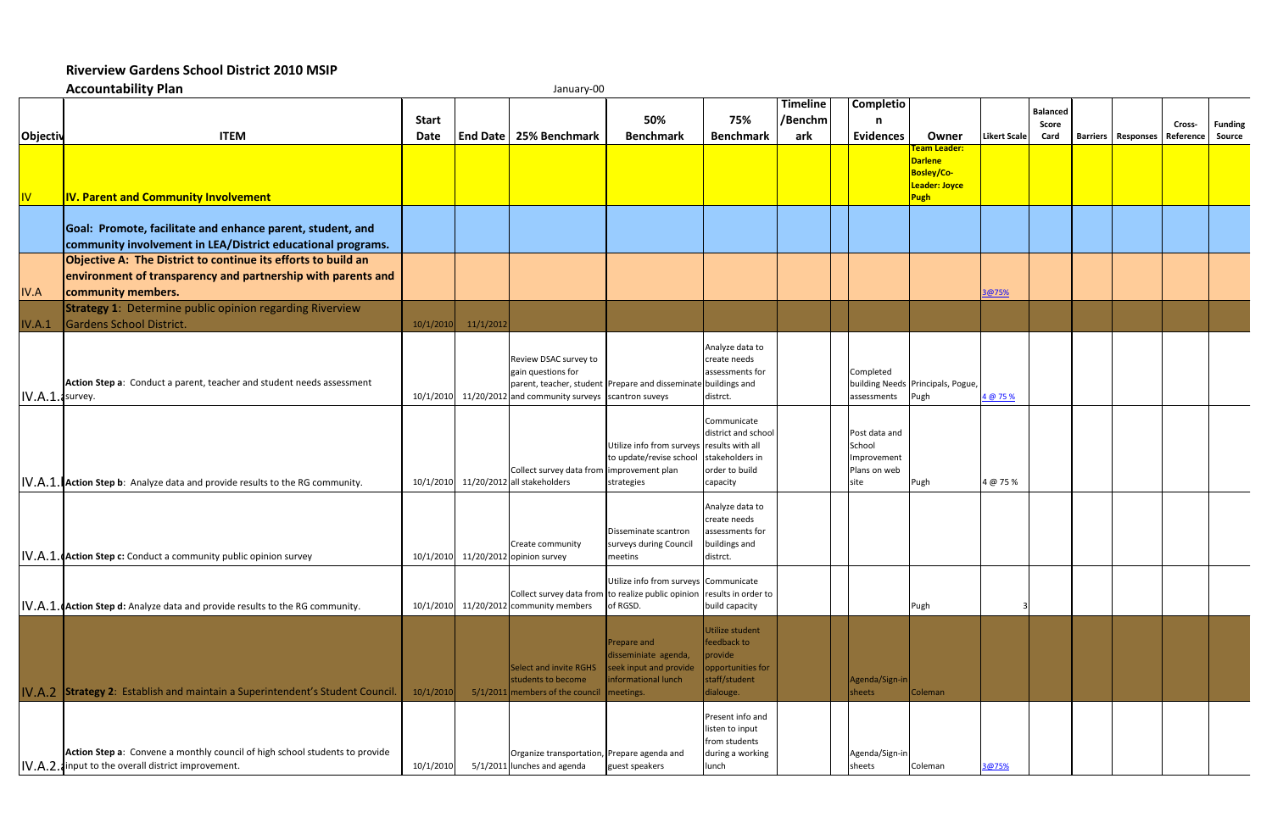## **Riverview Gardens School District 2010 MSIP**

|                 | <b>Accountability Plan</b>                                                                                                                          |                      |           | January-00                                                                                                                                                                  |                                                                                                   |                                                                                              |                                   |                                                                |                                                                                     |                     |                                  |                                         |        |                          |
|-----------------|-----------------------------------------------------------------------------------------------------------------------------------------------------|----------------------|-----------|-----------------------------------------------------------------------------------------------------------------------------------------------------------------------------|---------------------------------------------------------------------------------------------------|----------------------------------------------------------------------------------------------|-----------------------------------|----------------------------------------------------------------|-------------------------------------------------------------------------------------|---------------------|----------------------------------|-----------------------------------------|--------|--------------------------|
| Objectiv        | <b>ITEM</b>                                                                                                                                         | <b>Start</b><br>Date |           | End Date   25% Benchmark                                                                                                                                                    | 50%<br><b>Benchmark</b>                                                                           | 75%<br><b>Benchmark</b>                                                                      | <b>Timeline</b><br>/Benchm<br>ark | <b>Completio</b><br>n<br><b>Evidences</b>                      | Owner                                                                               | <b>Likert Scale</b> | <b>Balanced</b><br>Score<br>Card | <b>Barriers   Responses   Reference</b> | Cross- | <b>Funding</b><br>Source |
| W               | <b>IV. Parent and Community Involvement</b>                                                                                                         |                      |           |                                                                                                                                                                             |                                                                                                   |                                                                                              |                                   |                                                                | <b>Team Leader:</b><br><b>Darlene</b><br><b>Bosley/Co-</b><br>Leader: Joyce<br>Pugh |                     |                                  |                                         |        |                          |
|                 | Goal: Promote, facilitate and enhance parent, student, and<br>community involvement in LEA/District educational programs.                           |                      |           |                                                                                                                                                                             |                                                                                                   |                                                                                              |                                   |                                                                |                                                                                     |                     |                                  |                                         |        |                          |
| <b>IV.A</b>     | Objective A: The District to continue its efforts to build an<br>environment of transparency and partnership with parents and<br>community members. |                      |           |                                                                                                                                                                             |                                                                                                   |                                                                                              |                                   |                                                                |                                                                                     | 8@75%               |                                  |                                         |        |                          |
| IV.A.1          | <b>Strategy 1: Determine public opinion regarding Riverview</b><br>Gardens School District.                                                         | 10/1/2010            | 11/1/2012 |                                                                                                                                                                             |                                                                                                   |                                                                                              |                                   |                                                                |                                                                                     |                     |                                  |                                         |        |                          |
| IV.A.1. survey. | Action Step a: Conduct a parent, teacher and student needs assessment                                                                               |                      |           | Review DSAC survey to<br>gain questions for<br>parent, teacher, student Prepare and disseminate buildings and<br>10/1/2010 11/20/2012 and community surveys scantron suveys |                                                                                                   | Analyze data to<br>create needs<br>assessments for<br>distrct.                               |                                   | Completed<br>assessments                                       | building Needs Principals, Pogue,<br>Pugh                                           | 4 @ 75 %            |                                  |                                         |        |                          |
|                 | IV.A.1. Action Step b: Analyze data and provide results to the RG community.                                                                        |                      |           | Collect survey data from improvement plan<br>10/1/2010 11/20/2012 all stakeholders                                                                                          | Utilize info from surveys results with all<br>to update/revise school<br>strategies               | Communicate<br>district and school<br>stakeholders in<br>order to build<br>capacity          |                                   | Post data and<br>School<br>Improvement<br>Plans on web<br>site | Pugh                                                                                | 4 @ 75 %            |                                  |                                         |        |                          |
|                 | IV.A.1. (Action Step c: Conduct a community public opinion survey                                                                                   |                      |           | Create community<br>10/1/2010 11/20/2012 opinion survey                                                                                                                     | Disseminate scantron<br>surveys during Council<br>meetins                                         | Analyze data to<br>create needs<br>assessments for<br>buildings and<br>distrct.              |                                   |                                                                |                                                                                     |                     |                                  |                                         |        |                          |
|                 | IV.A.1. Action Step d: Analyze data and provide results to the RG community.                                                                        |                      |           | Collect survey data from to realize public opinion results in order to<br>10/1/2010 11/20/2012 community members                                                            | Utilize info from surveys Communicate<br>of RGSD.                                                 | build capacity                                                                               |                                   |                                                                | Pugh                                                                                |                     |                                  |                                         |        |                          |
|                 | IV.A.2 Strategy 2: Establish and maintain a Superintendent's Student Council.                                                                       | 10/1/2010            |           | Select and invite RGHS<br>students to become<br>$5/1/2011$ members of the council                                                                                           | Prepare and<br>disseminiate agenda,<br>seek input and provide<br>informational lunch<br>meetings. | Utilize student<br>feedback to<br>provide<br>opportunities for<br>staff/student<br>dialouge. |                                   | Agenda/Sign-in<br>sheets                                       | Coleman                                                                             |                     |                                  |                                         |        |                          |
|                 | Action Step a: Convene a monthly council of high school students to provide<br>IV.A.2. input to the overall district improvement.                   | 10/1/2010            |           | Organize transportation, Prepare agenda and<br>5/1/2011 lunches and agenda                                                                                                  | guest speakers                                                                                    | Present info and<br>listen to input<br>from students<br>during a working<br>lunch            |                                   | Agenda/Sign-in<br>sheets                                       | Coleman                                                                             | 3@75%               |                                  |                                         |        |                          |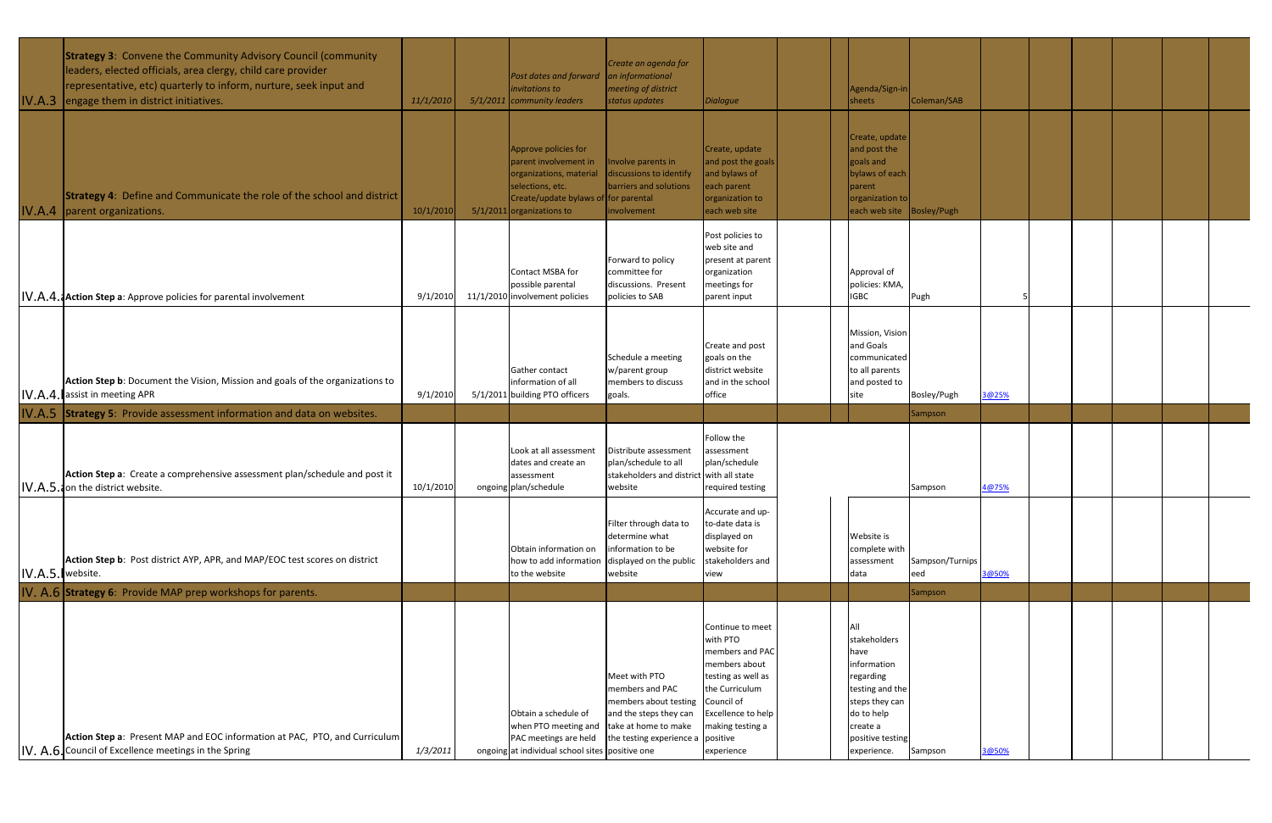|                  | <b>Strategy 3:</b> Convene the Community Advisory Council (community<br>leaders, elected officials, area clergy, child care provider<br>representative, etc) quarterly to inform, nurture, seek input and<br>IV.A.3 engage them in district initiatives. | 11/1/2010 | Post dates and forward an informational<br>invitations to<br>$5/1/2011$ community leaders                                                                           | Create an agenda for<br>meeting of district<br>status updates                                                                                    | <b>Dialogue</b>                                                                                                                                                                | Agenda/Sign-in<br>sheets                                                                                                                                  | Coleman/SAB            |       |  |  |  |
|------------------|----------------------------------------------------------------------------------------------------------------------------------------------------------------------------------------------------------------------------------------------------------|-----------|---------------------------------------------------------------------------------------------------------------------------------------------------------------------|--------------------------------------------------------------------------------------------------------------------------------------------------|--------------------------------------------------------------------------------------------------------------------------------------------------------------------------------|-----------------------------------------------------------------------------------------------------------------------------------------------------------|------------------------|-------|--|--|--|
|                  | <b>Strategy 4:</b> Define and Communicate the role of the school and district<br>IV.A.4   parent organizations.                                                                                                                                          | 10/1/2010 | Approve policies for<br>parent involvement in<br>organizations, material<br>selections, etc.<br>Create/update bylaws of for parental<br>$5/1/2011$ organizations to | nvolve parents in<br>discussions to identify<br>barriers and solutions<br>involvement                                                            | Create, update<br>and post the goals<br>and bylaws of<br>each parent<br>organization to<br>each web site                                                                       | Create, update<br>and post the<br>goals and<br>bylaws of each<br>parent<br>organization to<br>each web site Bosley/Pugh                                   |                        |       |  |  |  |
|                  | IV.A.4. Action Step a: Approve policies for parental involvement                                                                                                                                                                                         | 9/1/2010  | Contact MSBA for<br>possible parental<br>11/1/2010 involvement policies                                                                                             | Forward to policy<br>committee for<br>discussions. Present<br>policies to SAB                                                                    | Post policies to<br>web site and<br>present at parent<br>organization<br>meetings for<br>parent input                                                                          | Approval of<br>policies: KMA,<br><b>IGBC</b>                                                                                                              | Pugh                   |       |  |  |  |
|                  | Action Step b: Document the Vision, Mission and goals of the organizations to<br>IV.A.4. assist in meeting APR                                                                                                                                           | 9/1/2010  | Gather contact<br>information of all<br>5/1/2011 building PTO officers                                                                                              | Schedule a meeting<br>w/parent group<br>members to discuss<br>goals.                                                                             | Create and post<br>goals on the<br>district website<br>and in the school<br>office                                                                                             | Mission, Visior<br>and Goals<br>communicated<br>to all parents<br>and posted to<br>site                                                                   | Bosley/Pugh            | 3@25% |  |  |  |
|                  | IV.A.5 Strategy 5: Provide assessment information and data on websites.                                                                                                                                                                                  |           |                                                                                                                                                                     |                                                                                                                                                  |                                                                                                                                                                                |                                                                                                                                                           | Sampson                |       |  |  |  |
|                  | Action Step a: Create a comprehensive assessment plan/schedule and post it<br>IV.A.5. on the district website.                                                                                                                                           | 10/1/2010 | Look at all assessment<br>dates and create an<br>assessment<br>ongoing plan/schedule                                                                                | Distribute assessment<br>plan/schedule to all<br>stakeholders and district with all state<br>website                                             | Follow the<br>assessment<br>plan/schedule<br>required testing                                                                                                                  |                                                                                                                                                           | Sampson                | 4@75% |  |  |  |
| IV.A.5. website. | Action Step b: Post district AYP, APR, and MAP/EOC test scores on district                                                                                                                                                                               |           | Obtain information on<br>how to add information<br>to the website                                                                                                   | Filter through data to<br>determine what<br>information to be<br>displayed on the public<br>website                                              | Accurate and up-<br>to-date data is<br>displayed on<br>website for<br>stakeholders and<br>view                                                                                 | Website is<br>complete with<br>assessment<br>data                                                                                                         | Sampson/Turnips<br>eed | 3@50% |  |  |  |
|                  | IV. A.6 Strategy 6: Provide MAP prep workshops for parents.                                                                                                                                                                                              |           |                                                                                                                                                                     |                                                                                                                                                  |                                                                                                                                                                                |                                                                                                                                                           | Sampson                |       |  |  |  |
|                  | Action Step a: Present MAP and EOC information at PAC, PTO, and Curriculum<br>IV. A.6. Council of Excellence meetings in the Spring                                                                                                                      | 1/3/2011  | Obtain a schedule of<br>when PTO meeting and<br>PAC meetings are held<br>ongoing at individual school sites positive one                                            | Meet with PTO<br>members and PAC<br>members about testing<br>and the steps they can<br>take at home to make<br>the testing experience a positive | Continue to meet<br>with PTO<br>members and PAC<br>members about<br>testing as well as<br>the Curriculum<br>Council of<br>Excellence to help<br>making testing a<br>experience | All<br>stakeholders<br>have<br>information<br>regarding<br>testing and the<br>steps they can<br>do to help<br>create a<br>positive testing<br>experience. | Sampson                | 3@50% |  |  |  |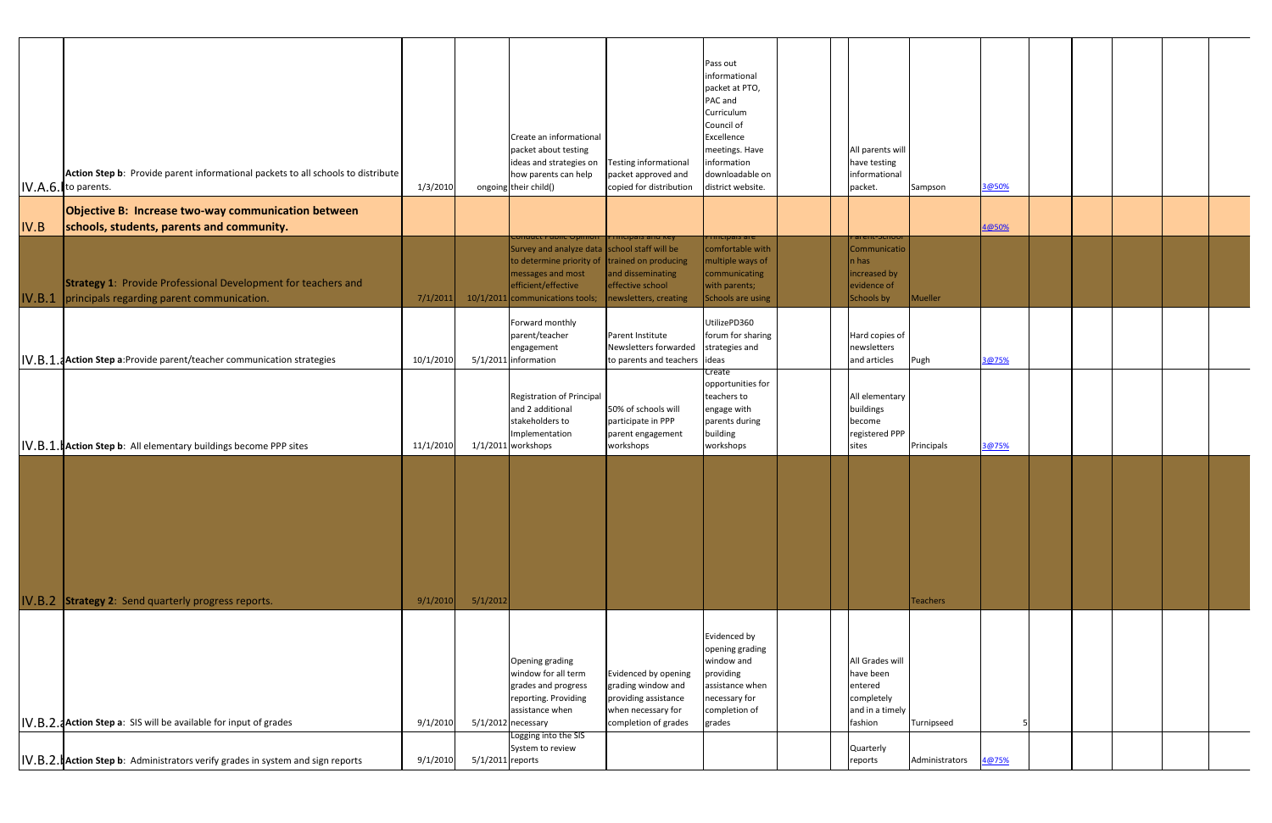|        | Action Step b: Provide parent informational packets to all schools to distribute<br>IV.A.6. to parents.            | 1/3/2010  |                  | Create an informational<br>packet about testing<br>ideas and strategies on<br>how parents can help<br>ongoing their child()                                                          | <b>Testing informational</b><br>packet approved and<br>copied for distribution                                   | Pass out<br>informational<br>packet at PTO,<br>PAC and<br>Curriculum<br>Council of<br>Excellence<br>meetings. Have<br>information<br>downloadable on<br>district website. | All parents will<br>have testing<br>informational<br>packet.                        | Sampson         | 3@50% |  |  |  |
|--------|--------------------------------------------------------------------------------------------------------------------|-----------|------------------|--------------------------------------------------------------------------------------------------------------------------------------------------------------------------------------|------------------------------------------------------------------------------------------------------------------|---------------------------------------------------------------------------------------------------------------------------------------------------------------------------|-------------------------------------------------------------------------------------|-----------------|-------|--|--|--|
|        | Objective B: Increase two-way communication between                                                                |           |                  |                                                                                                                                                                                      |                                                                                                                  |                                                                                                                                                                           |                                                                                     |                 |       |  |  |  |
| IV.B   | schools, students, parents and community.                                                                          |           |                  | <del>onauct nabiic Opimor</del>                                                                                                                                                      | <b>Finicipals and Key</b>                                                                                        | <del>mupais are</del>                                                                                                                                                     | <del>arent-Suno</del> i                                                             |                 | 4@50% |  |  |  |
| IV.B.1 | <b>Strategy 1: Provide Professional Development for teachers and</b><br>principals regarding parent communication. | 7/1/2011  |                  | Survey and analyze data school staff will be<br>to determine priority of $\vert$ trained on producing<br>messages and most<br>efficient/effective<br>10/1/2011 communications tools; | and disseminating<br>effective school<br>newsletters, creating                                                   | comfortable with<br>multiple ways of<br>communicating<br>with parents;<br>Schools are using                                                                               | Communicatio<br>n has<br>increased by<br>evidence of<br>Schools by                  | Mueller         |       |  |  |  |
|        | IV.B.1. <b>Action Step a: Provide parent/teacher communication strategies</b>                                      | 10/1/2010 |                  | Forward monthly<br>parent/teacher<br>engagement<br>5/1/2011 information                                                                                                              | Parent Institute<br>Newsletters forwarded<br>to parents and teachers ideas                                       | UtilizePD360<br>forum for sharing<br>strategies and                                                                                                                       | Hard copies of<br>newsletters<br>and articles                                       | Pugh            | 3@75% |  |  |  |
|        | IV.B.1. Action Step b: All elementary buildings become PPP sites                                                   | 11/1/2010 |                  | Registration of Principal<br>and 2 additional<br>stakeholders to<br>Implementation<br>$1/1/2011$ workshops                                                                           | 50% of schools will<br>participate in PPP<br>parent engagement<br>workshops                                      | Create<br>opportunities for<br>teachers to<br>engage with<br>parents during<br>building<br>workshops                                                                      | All elementary<br>buildings<br>become<br>registered PPP<br>sites                    | Principals      | 3@75% |  |  |  |
|        | IV.B.2 Strategy 2: Send quarterly progress reports.                                                                | 9/1/2010  | 5/1/2012         |                                                                                                                                                                                      |                                                                                                                  |                                                                                                                                                                           |                                                                                     | <b>Teachers</b> |       |  |  |  |
|        | <b>IV.B.2. a Action Step a:</b> SIS will be available for input of grades                                          | 9/1/2010  |                  | <b>Opening grading</b><br>window for all term<br>grades and progress<br>reporting. Providing<br>assistance when<br>$5/1/2012$ necessary                                              | Evidenced by opening<br>grading window and<br>providing assistance<br>when necessary for<br>completion of grades | Evidenced by<br>opening grading<br>window and<br>providing<br>assistance when<br>necessary for<br>completion of<br>grades                                                 | All Grades will<br>have been<br>entered<br>completely<br>and in a timely<br>fashion | Turnipseed      |       |  |  |  |
|        |                                                                                                                    |           |                  | Logging into the SIS<br>System to review                                                                                                                                             |                                                                                                                  |                                                                                                                                                                           | Quarterly                                                                           |                 |       |  |  |  |
|        | <b>IV.B.2. Action Step b:</b> Administrators verify grades in system and sign reports                              | 9/1/2010  | 5/1/2011 reports |                                                                                                                                                                                      |                                                                                                                  |                                                                                                                                                                           | reports                                                                             | Administrators  | 4@75% |  |  |  |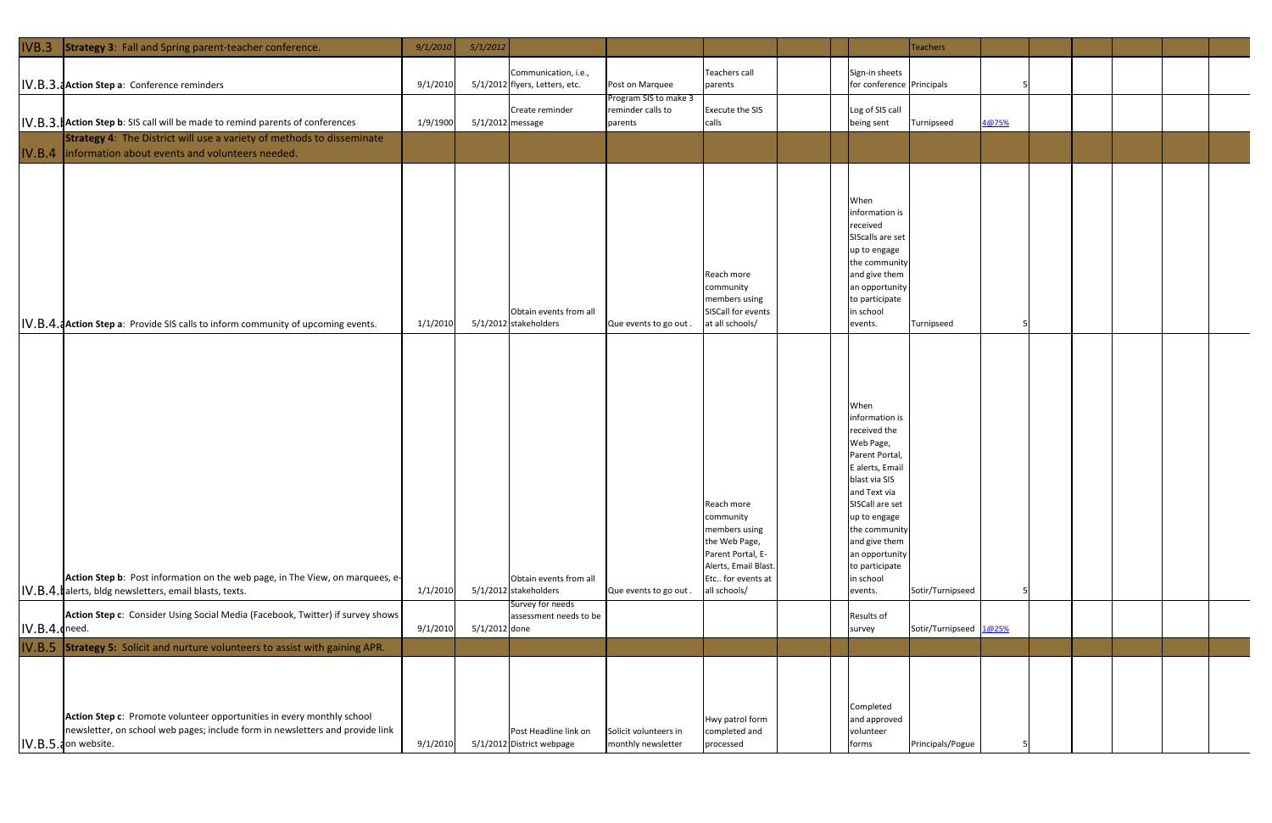| IVB.3             | Strategy 3: Fall and Spring parent-teacher conference.                                                                                                                          | 9/1/2010 | 5/1/2012         |                                                                     |                                                       |                                                                                                                                            |  |                                                                                                                                                                                                                                                           | <b>Teachers</b>        |       |  |  |  |
|-------------------|---------------------------------------------------------------------------------------------------------------------------------------------------------------------------------|----------|------------------|---------------------------------------------------------------------|-------------------------------------------------------|--------------------------------------------------------------------------------------------------------------------------------------------|--|-----------------------------------------------------------------------------------------------------------------------------------------------------------------------------------------------------------------------------------------------------------|------------------------|-------|--|--|--|
|                   | IV.B.3. JAction Step a: Conference reminders                                                                                                                                    | 9/1/2010 |                  | Communication, i.e.,<br>5/1/2012 flyers, Letters, etc.              | Post on Marquee                                       | Teachers call<br>parents                                                                                                                   |  | Sign-in sheets<br>for conference Principals                                                                                                                                                                                                               |                        |       |  |  |  |
|                   | <b>IV.B.3. Action Step b:</b> SIS call will be made to remind parents of conferences                                                                                            | 1/9/1900 | 5/1/2012 message | Create reminder                                                     | Program SIS to make 3<br>reminder calls to<br>parents | Execute the SIS<br>calls                                                                                                                   |  | Log of SIS call<br>being sent                                                                                                                                                                                                                             | Turnipseed             | 4@75% |  |  |  |
|                   | <b>Strategy 4:</b> The District will use a variety of methods to disseminate<br>IV.B.4   information about events and volunteers needed.                                        |          |                  |                                                                     |                                                       |                                                                                                                                            |  |                                                                                                                                                                                                                                                           |                        |       |  |  |  |
|                   | IV.B.4. Action Step a: Provide SIS calls to inform community of upcoming events.                                                                                                | 1/1/2010 |                  | Obtain events from all<br>5/1/2012 stakeholders                     | Que events to go out.                                 | Reach more<br>community<br>members using<br>SISCall for events<br>at all schools/                                                          |  | When<br>information is<br>received<br>SIScalls are set<br>up to engage<br>the communit<br>and give them<br>an opportunity<br>to participate<br>in school<br>events.                                                                                       | Turnipseed             |       |  |  |  |
|                   | Action Step b: Post information on the web page, in The View, on marquees, e-<br>IV.B.4. alerts, bldg newsletters, email blasts, texts.                                         | 1/1/2010 |                  | Obtain events from all<br>5/1/2012 stakeholders<br>Survey for needs | Que events to go out.                                 | Reach more<br>community<br>members using<br>the Web Page,<br>Parent Portal, E-<br>Alerts, Email Blast<br>Etc for events at<br>all schools/ |  | When<br>information is<br>received the<br>Web Page,<br>Parent Portal,<br>E alerts, Email<br>blast via SIS<br>and Text via<br>SISCall are set<br>up to engage<br>the communit<br>and give them<br>an opportunity<br>to participate<br>in school<br>events. | Sotir/Turnipseed       |       |  |  |  |
| $ IV.B.4.$ (need. | Action Step c: Consider Using Social Media (Facebook, Twitter) if survey shows                                                                                                  | 9/1/2010 | 5/1/2012 done    | assessment needs to be                                              |                                                       |                                                                                                                                            |  | <b>Results of</b><br>survey                                                                                                                                                                                                                               | Sotir/Turnipseed 1@25% |       |  |  |  |
|                   | IV.B.5 Strategy 5: Solicit and nurture volunteers to assist with gaining APR.                                                                                                   |          |                  |                                                                     |                                                       |                                                                                                                                            |  |                                                                                                                                                                                                                                                           |                        |       |  |  |  |
|                   | Action Step c: Promote volunteer opportunities in every monthly school<br>newsletter, on school web pages; include form in newsletters and provide link<br>IV.B.5.1 on website. | 9/1/2010 |                  | Post Headline link on<br>5/1/2012 District webpage                  | Solicit volunteers in<br>monthly newsletter           | Hwy patrol form<br>completed and<br>processed                                                                                              |  | Completed<br>and approved<br>volunteer<br>forms                                                                                                                                                                                                           | Principals/Pogue       |       |  |  |  |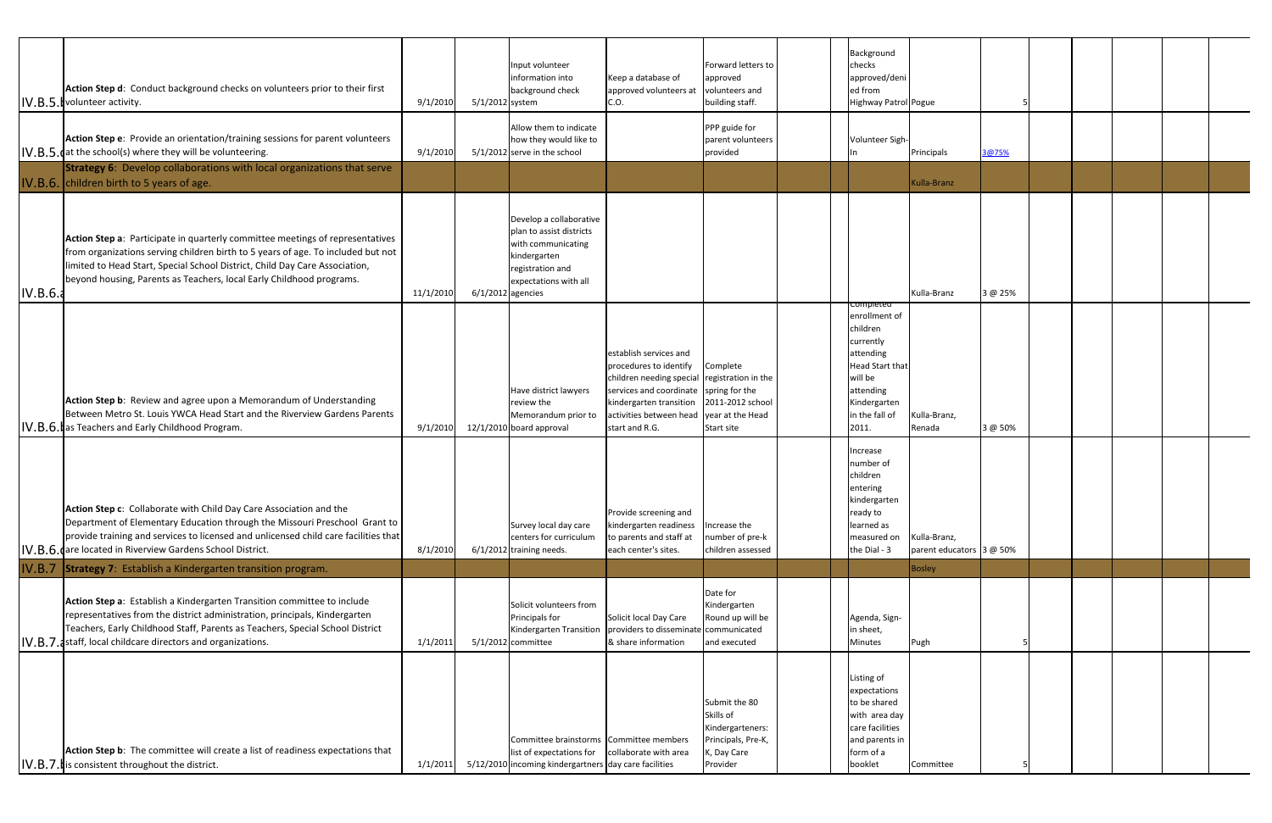|          | Action Step d: Conduct background checks on volunteers prior to their first<br>IV.B.5. volunteer activity.                                                                                                                                                                                                               | 9/1/2010  | 5/1/2012 system | Input volunteer<br>information into<br>background check                                                                                                       | Keep a database of<br>approved volunteers at<br>C.O.                                                                                                                                                                                | Forward letters to<br>approved<br>volunteers and<br>building staff.                             | Background<br>checks<br>approved/deni<br>ed from<br>Highway Patrol Pogue                                                                                      |                                          |         |  |  |  |
|----------|--------------------------------------------------------------------------------------------------------------------------------------------------------------------------------------------------------------------------------------------------------------------------------------------------------------------------|-----------|-----------------|---------------------------------------------------------------------------------------------------------------------------------------------------------------|-------------------------------------------------------------------------------------------------------------------------------------------------------------------------------------------------------------------------------------|-------------------------------------------------------------------------------------------------|---------------------------------------------------------------------------------------------------------------------------------------------------------------|------------------------------------------|---------|--|--|--|
|          | Action Step e: Provide an orientation/training sessions for parent volunteers<br>$\lfloor$ IV.B.5. dat the school(s) where they will be volunteering.                                                                                                                                                                    | 9/1/2010  |                 | Allow them to indicate<br>how they would like to<br>$5/1/2012$ serve in the school                                                                            |                                                                                                                                                                                                                                     | PPP guide for<br>parent volunteers<br>provided                                                  | Volunteer Sigh-                                                                                                                                               | Principals                               | 3@75%   |  |  |  |
|          | <b>Strategy 6:</b> Develop collaborations with local organizations that serve<br>IV.B.6. children birth to 5 years of age.                                                                                                                                                                                               |           |                 |                                                                                                                                                               |                                                                                                                                                                                                                                     |                                                                                                 |                                                                                                                                                               | Kulla-Branz                              |         |  |  |  |
| IV.B.6.1 | Action Step a: Participate in quarterly committee meetings of representatives<br>from organizations serving children birth to 5 years of age. To included but not<br>limited to Head Start, Special School District, Child Day Care Association,<br>beyond housing, Parents as Teachers, local Early Childhood programs. | 11/1/2010 |                 | Develop a collaborative<br>plan to assist districts<br>with communicating<br>kindergarten<br>registration and<br>expectations with all<br>$6/1/2012$ agencies |                                                                                                                                                                                                                                     |                                                                                                 |                                                                                                                                                               | Kulla-Branz                              | 3 @ 25% |  |  |  |
|          | Action Step b: Review and agree upon a Memorandum of Understanding<br>Between Metro St. Louis YWCA Head Start and the Riverview Gardens Parents<br>IV.B.6. as Teachers and Early Childhood Program.                                                                                                                      | 9/1/2010  |                 | Have district lawyers<br>review the<br>Memorandum prior to<br>12/1/2010 board approval                                                                        | establish services and<br>procedures to identify<br>children needing special registration in the<br>services and coordinate spring for the<br>kindergarten transition 2011-2012 school<br>activities between head<br>start and R.G. | Complete<br>year at the Head<br>Start site                                                      | compieted<br>enrollment of<br>children<br>currently<br>attending<br><b>Head Start that</b><br>will be<br>attending<br>Kindergarten<br>in the fall of<br>2011. | Kulla-Branz,<br>Renada                   | 3 @ 50% |  |  |  |
|          | Action Step c: Collaborate with Child Day Care Association and the<br>Department of Elementary Education through the Missouri Preschool Grant to<br>provide training and services to licensed and unlicensed child care facilities that<br>IV.B.6. dare located in Riverview Gardens School District.                    | 8/1/2010  |                 | Survey local day care<br>centers for curriculum<br>6/1/2012 training needs.                                                                                   | Provide screening and<br>kindergarten readiness<br>to parents and staff at<br>each center's sites.                                                                                                                                  | Increase the<br>number of pre-k<br>children assessed                                            | ncrease<br>number of<br>children<br>entering<br>kindergarten<br>ready to<br>learned as<br>measured on<br>the Dial - 3                                         | Kulla-Branz,<br>parent educators 3 @ 50% |         |  |  |  |
| IV.B.7   | <b>Strategy 7:</b> Establish a Kindergarten transition program.                                                                                                                                                                                                                                                          |           |                 |                                                                                                                                                               |                                                                                                                                                                                                                                     |                                                                                                 |                                                                                                                                                               | <b>Bosley</b>                            |         |  |  |  |
|          | Action Step a: Establish a Kindergarten Transition committee to include<br>representatives from the district administration, principals, Kindergarten<br>Teachers, Early Childhood Staff, Parents as Teachers, Special School District<br>IV.B.7. astaff, local childcare directors and organizations.                   | 1/1/201   |                 | Solicit volunteers from<br>Principals for<br>Kindergarten Transition<br>$5/1/2012$ committee                                                                  | Solicit local Day Care<br>providers to disseminat<br>& share information                                                                                                                                                            | Date for<br>Kindergarten<br>Round up will be<br>communicated<br>and executed                    | Agenda, Sign-<br>in sheet,<br>Minutes                                                                                                                         | Pugh                                     |         |  |  |  |
|          | Action Step b: The committee will create a list of readiness expectations that<br>$ IV.B.7.1 $ is consistent throughout the district.                                                                                                                                                                                    | 1/1/2011  | 5/12/201        | Committee brainstorms Committee members<br>list of expectations for<br>Incoming kindergartners day care facilities                                            | collaborate with area                                                                                                                                                                                                               | Submit the 80<br>Skills of<br>Kindergarteners:<br>Principals, Pre-K,<br>K, Day Care<br>Provider | Listing of<br>expectations<br>to be shared<br>with area day<br>care facilities<br>and parents in<br>form of a<br>booklet                                      | Committee                                |         |  |  |  |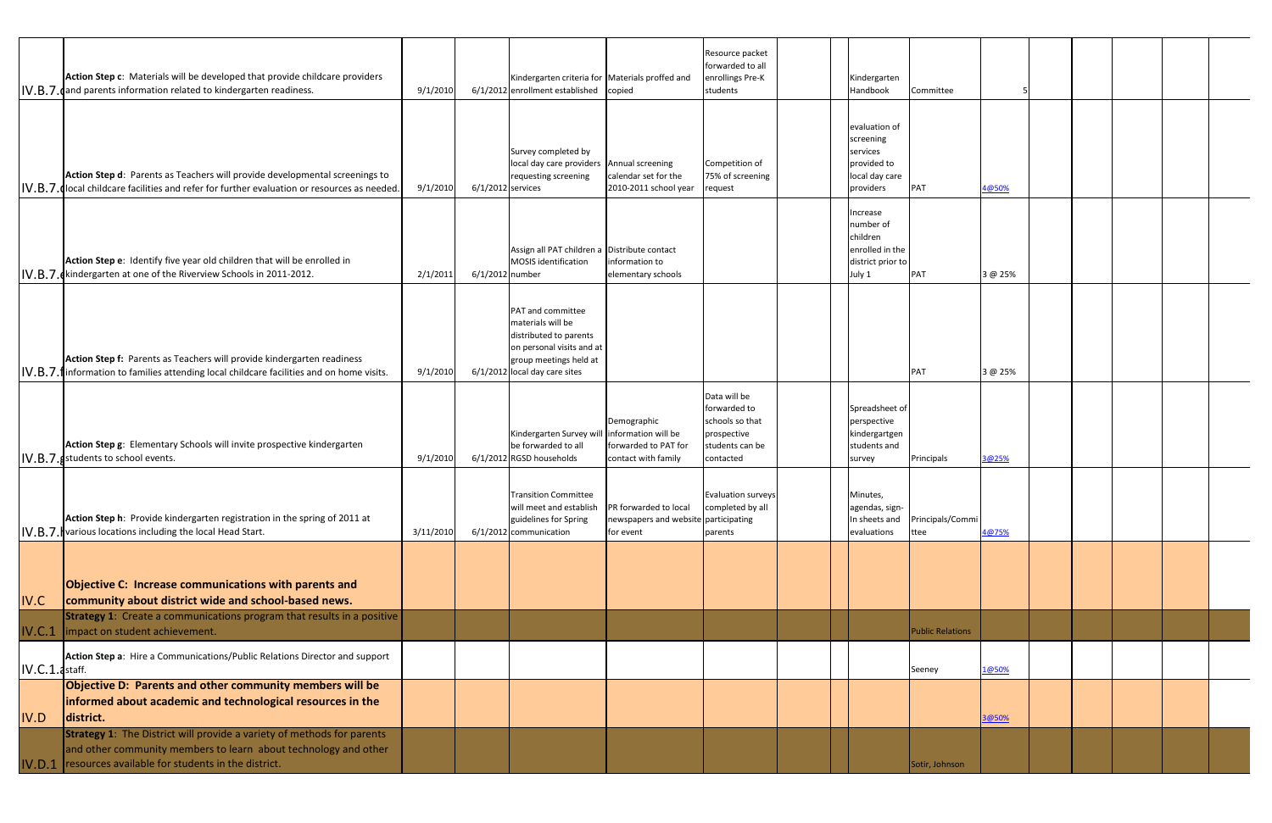|                   | Action Step c: Materials will be developed that provide childcare providers<br>IV.B.7. dand parents information related to kindergarten readiness.                                                    | 9/1/2010  |                     | Kindergarten criteria for Materials proffed and<br>6/1/2012 enrollment established                                                                              | copied                                                                            | Resource packet<br>forwarded to all<br>enrollings Pre-K<br>students                            | Kindergarten<br>Handbook                                                             | Committee                |         |  |  |  |
|-------------------|-------------------------------------------------------------------------------------------------------------------------------------------------------------------------------------------------------|-----------|---------------------|-----------------------------------------------------------------------------------------------------------------------------------------------------------------|-----------------------------------------------------------------------------------|------------------------------------------------------------------------------------------------|--------------------------------------------------------------------------------------|--------------------------|---------|--|--|--|
|                   | Action Step d: Parents as Teachers will provide developmental screenings to<br>IV.B.7. Jocal childcare facilities and refer for further evaluation or resources as needed.                            | 9/1/2010  | $6/1/2012$ services | Survey completed by<br>local day care providers Annual screening<br>requesting screening                                                                        | calendar set for the<br>2010-2011 school year                                     | Competition of<br>75% of screening<br>request                                                  | evaluation of<br>screening<br>services<br>provided to<br>local day care<br>providers | PAT                      | 4@50%   |  |  |  |
|                   | Action Step e: Identify five year old children that will be enrolled in<br>IV.B.7. Kindergarten at one of the Riverview Schools in 2011-2012.                                                         | 2/1/2011  | 6/1/2012 number     | Assign all PAT children a Distribute contact<br>MOSIS identification                                                                                            | information to<br>elementary schools                                              |                                                                                                | ncrease<br>number of<br>children<br>enrolled in the<br>district prior to<br>July 1   | PAT                      | 3 @ 25% |  |  |  |
|                   | Action Step f: Parents as Teachers will provide kindergarten readiness<br> IV.B.7.1  information to families attending local childcare facilities and on home visits.                                 | 9/1/2010  |                     | <b>PAT and committee</b><br>materials will be<br>distributed to parents<br>on personal visits and at<br>group meetings held at<br>6/1/2012 local day care sites |                                                                                   |                                                                                                |                                                                                      | PAT                      | 3 @ 25% |  |  |  |
|                   | Action Step g: Elementary Schools will invite prospective kindergarten<br>IV.B.7. students to school events.                                                                                          | 9/1/2010  |                     | Kindergarten Survey wi<br>be forwarded to all<br>6/1/2012 RGSD households                                                                                       | Demographic<br>information will be<br>forwarded to PAT for<br>contact with family | Data will be<br>forwarded to<br>schools so that<br>prospective<br>students can be<br>contacted | Spreadsheet of<br>perspective<br>kindergartgen<br>students and<br>survey             | Principals               | 3@25%   |  |  |  |
|                   | Action Step h: Provide kindergarten registration in the spring of 2011 at<br> IV.B.7. Various locations including the local Head Start.                                                               | 3/11/2010 |                     | Transition Committee<br>will meet and establish<br>guidelines for Spring<br>6/1/2012 communication                                                              | PR forwarded to local<br>newspapers and website participating<br>for event        | <b>Evaluation surveys</b><br>completed by all<br>parents                                       | Minutes,<br>agendas, sign-<br>n sheets and<br>evaluations                            | Principals/Commi<br>ttee | 4@75%   |  |  |  |
| IV.C              | Objective C: Increase communications with parents and<br>community about district wide and school-based news.                                                                                         |           |                     |                                                                                                                                                                 |                                                                                   |                                                                                                |                                                                                      |                          |         |  |  |  |
| IV.C.1            | <b>Strategy 1:</b> Create a communications program that results in a positive<br>impact on student achievement.                                                                                       |           |                     |                                                                                                                                                                 |                                                                                   |                                                                                                |                                                                                      | <b>Public Relations</b>  |         |  |  |  |
| $ IV.C.1.$ staff. | Action Step a: Hire a Communications/Public Relations Director and support                                                                                                                            |           |                     |                                                                                                                                                                 |                                                                                   |                                                                                                |                                                                                      | Seeney                   | 1@50%   |  |  |  |
| IV.D              | Objective D: Parents and other community members will be<br>informed about academic and technological resources in the<br>district.                                                                   |           |                     |                                                                                                                                                                 |                                                                                   |                                                                                                |                                                                                      |                          | 3@50%   |  |  |  |
| IV.D.1            | <b>Strategy 1:</b> The District will provide a variety of methods for parents<br>and other community members to learn about technology and other<br>resources available for students in the district. |           |                     |                                                                                                                                                                 |                                                                                   |                                                                                                |                                                                                      | Sotir, Johnson           |         |  |  |  |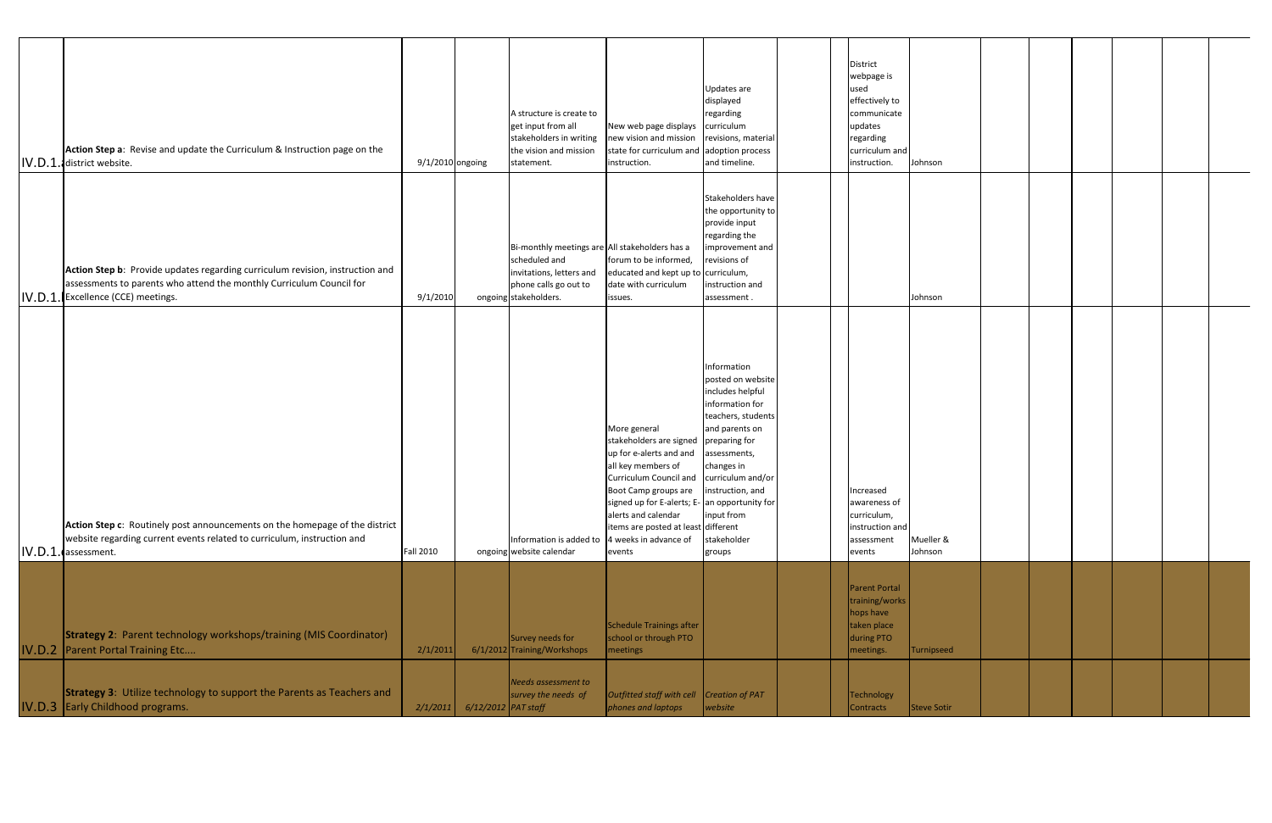|        | Action Step a: Revise and update the Curriculum & Instruction page on the<br>IV.D.1. district website.                                                                              | 9/1/2010 ongoing |                              | A structure is create to<br>get input from all<br>stakeholders in writing<br>the vision and mission<br>statement.                             | New web page displays<br>new vision and mission<br>state for curriculum and adoption process<br>instruction.                                                                                                                                                                                 | Updates are<br>displayed<br>regarding<br>curriculum<br>revisions, material<br>and timeline.                                                                                                                                                    | District<br>webpage is<br>used<br>effectively to<br>communicate<br>updates<br>regarding<br>curriculum and<br>instruction. | Johnson              |  |  |  |
|--------|-------------------------------------------------------------------------------------------------------------------------------------------------------------------------------------|------------------|------------------------------|-----------------------------------------------------------------------------------------------------------------------------------------------|----------------------------------------------------------------------------------------------------------------------------------------------------------------------------------------------------------------------------------------------------------------------------------------------|------------------------------------------------------------------------------------------------------------------------------------------------------------------------------------------------------------------------------------------------|---------------------------------------------------------------------------------------------------------------------------|----------------------|--|--|--|
| IV.D.1 | Action Step b: Provide updates regarding curriculum revision, instruction and<br>assessments to parents who attend the monthly Curriculum Council for<br>Excellence (CCE) meetings. | 9/1/2010         |                              | Bi-monthly meetings are All stakeholders has a<br>scheduled and<br>invitations, letters and<br>phone calls go out to<br>ongoing stakeholders. | forum to be informed,<br>educated and kept up to<br>date with curriculum<br>issues.                                                                                                                                                                                                          | Stakeholders have<br>the opportunity to<br>provide input<br>regarding the<br>improvement and<br>revisions of<br>curriculum,<br>instruction and<br>assessment.                                                                                  |                                                                                                                           | Johnson              |  |  |  |
|        | Action Step c: Routinely post announcements on the homepage of the district<br>website regarding current events related to curriculum, instruction and<br>IV.D.1. assessment.       | <b>Fall 2010</b> |                              | Information is added to<br>ongoing website calendar                                                                                           | More general<br>stakeholders are signed<br>up for e-alerts and and<br>all key members of<br>Curriculum Council and<br>Boot Camp groups are<br>signed up for E-alerts; E- an opportunity for<br>alerts and calendar<br>items are posted at least different<br>4 weeks in advance of<br>events | Information<br>posted on website<br>includes helpful<br>information for<br>teachers, students<br>and parents on<br>preparing for<br>assessments,<br>changes in<br>curriculum and/or<br>instruction, and<br>input from<br>stakeholder<br>groups | Increased<br>awareness of<br>curriculum,<br>instruction and<br>assessment<br>events                                       | Mueller &<br>Johnson |  |  |  |
|        | <b>Strategy 2: Parent technology workshops/training (MIS Coordinator)</b><br><b>IV.D.2</b> Parent Portal Training Etc                                                               | 2/1/2011         |                              | Survey needs for<br>6/1/2012 Training/Workshops                                                                                               | Schedule Trainings after<br>school or through PTO<br>  meetings                                                                                                                                                                                                                              |                                                                                                                                                                                                                                                | <b>Parent Portal</b><br>training/works<br>hops have<br>taken place<br>during PTO<br>meetings.                             | Turnipseed           |  |  |  |
|        | <b>Strategy 3:</b> Utilize technology to support the Parents as Teachers and<br>IV.D.3 Early Childhood programs.                                                                    |                  | 2/1/2011 6/12/2012 PAT staff | Needs assessment to<br>survey the needs of                                                                                                    | Outfitted staff with cell Creation of PAT<br>phones and laptops                                                                                                                                                                                                                              | website                                                                                                                                                                                                                                        | <b>Technology</b><br>Contracts                                                                                            | Steve Sotir          |  |  |  |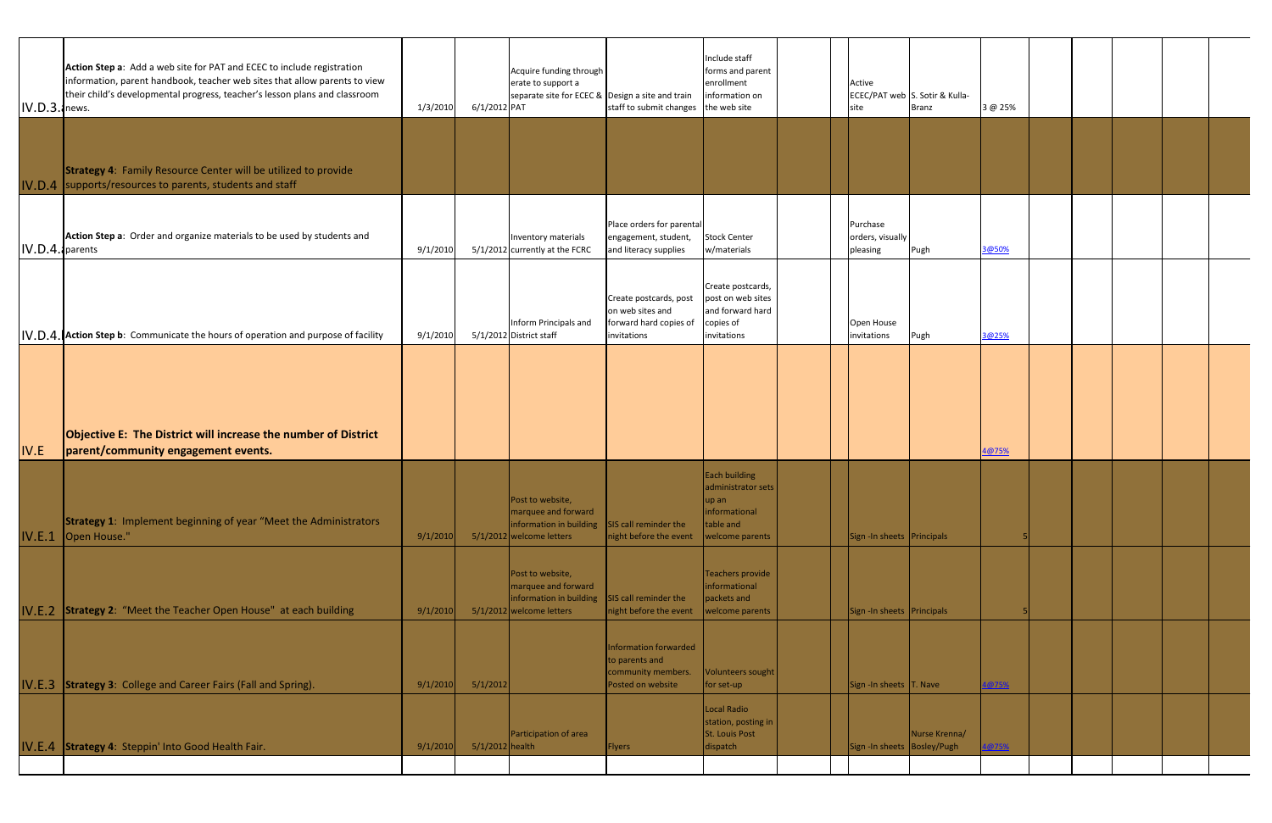|                     | Action Step a: Add a web site for PAT and ECEC to include registration<br>information, parent handbook, teacher web sites that allow parents to view<br>their child's developmental progress, teacher's lesson plans and classroom |          |                   | Acquire funding through<br>erate to support a<br>separate site for ECEC & Design a site and train |                                                                                     | Include staff<br>forms and parent<br>enrollment<br>information on                      |  | Active                                   | ECEC/PAT web S. Sotir & Kulla- |         |  |  |  |
|---------------------|------------------------------------------------------------------------------------------------------------------------------------------------------------------------------------------------------------------------------------|----------|-------------------|---------------------------------------------------------------------------------------------------|-------------------------------------------------------------------------------------|----------------------------------------------------------------------------------------|--|------------------------------------------|--------------------------------|---------|--|--|--|
| $IV.D.3.$ news.     |                                                                                                                                                                                                                                    | 1/3/2010 | 6/1/2012 PAT      |                                                                                                   | staff to submit changes the web site                                                |                                                                                        |  | site                                     | <b>Branz</b>                   | 3 @ 25% |  |  |  |
|                     | <b>Strategy 4: Family Resource Center will be utilized to provide</b>                                                                                                                                                              |          |                   |                                                                                                   |                                                                                     |                                                                                        |  |                                          |                                |         |  |  |  |
|                     | IV.D.4 supports/resources to parents, students and staff                                                                                                                                                                           |          |                   |                                                                                                   |                                                                                     |                                                                                        |  |                                          |                                |         |  |  |  |
| $ IV.D.4. $ parents | Action Step a: Order and organize materials to be used by students and                                                                                                                                                             | 9/1/2010 |                   | Inventory materials<br>5/1/2012 currently at the FCRC                                             | Place orders for parental<br>engagement, student,<br>and literacy supplies          | <b>Stock Center</b><br>w/materials                                                     |  | Purchase<br>orders, visually<br>pleasing | Pugh                           | 3@50%   |  |  |  |
|                     | IV.D.4. Action Step b: Communicate the hours of operation and purpose of facility                                                                                                                                                  | 9/1/2010 |                   | Inform Principals and<br>5/1/2012 District staff                                                  | Create postcards, post<br>on web sites and<br>forward hard copies of<br>invitations | Create postcards,<br>post on web sites<br>and forward hard<br>copies of<br>invitations |  | Open House<br>invitations                | Pugh                           | 3@25%   |  |  |  |
|                     |                                                                                                                                                                                                                                    |          |                   |                                                                                                   |                                                                                     |                                                                                        |  |                                          |                                |         |  |  |  |
|                     |                                                                                                                                                                                                                                    |          |                   |                                                                                                   |                                                                                     |                                                                                        |  |                                          |                                |         |  |  |  |
|                     |                                                                                                                                                                                                                                    |          |                   |                                                                                                   |                                                                                     |                                                                                        |  |                                          |                                |         |  |  |  |
|                     |                                                                                                                                                                                                                                    |          |                   |                                                                                                   |                                                                                     |                                                                                        |  |                                          |                                |         |  |  |  |
|                     | Objective E: The District will increase the number of District                                                                                                                                                                     |          |                   |                                                                                                   |                                                                                     |                                                                                        |  |                                          |                                |         |  |  |  |
| IV.E                | parent/community engagement events.                                                                                                                                                                                                |          |                   |                                                                                                   |                                                                                     |                                                                                        |  |                                          |                                | 4@75%   |  |  |  |
|                     |                                                                                                                                                                                                                                    |          |                   |                                                                                                   |                                                                                     | <b>Each building</b>                                                                   |  |                                          |                                |         |  |  |  |
|                     |                                                                                                                                                                                                                                    |          |                   |                                                                                                   |                                                                                     | administrator sets                                                                     |  |                                          |                                |         |  |  |  |
|                     |                                                                                                                                                                                                                                    |          |                   | Post to Website,<br>marquee and forward                                                           |                                                                                     | up an<br>informational                                                                 |  |                                          |                                |         |  |  |  |
|                     | <b>Strategy 1: Implement beginning of year "Meet the Administrators</b><br><b>IV.E.1</b> Open House."                                                                                                                              | 9/1/2010 |                   | information in building<br>5/1/2012 welcome letters                                               | SIS call reminder the<br>night before the event                                     | table and<br>welcome parents                                                           |  | Sign - In sheets Principals              |                                |         |  |  |  |
|                     |                                                                                                                                                                                                                                    |          |                   |                                                                                                   |                                                                                     |                                                                                        |  |                                          |                                |         |  |  |  |
|                     |                                                                                                                                                                                                                                    |          |                   | Post to website,                                                                                  |                                                                                     | Teachers provide                                                                       |  |                                          |                                |         |  |  |  |
|                     |                                                                                                                                                                                                                                    |          |                   | marquee and forward                                                                               |                                                                                     | informational                                                                          |  |                                          |                                |         |  |  |  |
|                     | IV.E.2 Strategy 2: "Meet the Teacher Open House" at each building                                                                                                                                                                  | 9/1/2010 |                   | information in building<br>5/1/2012 welcome letters                                               | SIS call reminder the<br>night before the event                                     | packets and<br>welcome parents                                                         |  | Sign - In sheets Principals              |                                |         |  |  |  |
|                     |                                                                                                                                                                                                                                    |          |                   |                                                                                                   |                                                                                     |                                                                                        |  |                                          |                                |         |  |  |  |
|                     |                                                                                                                                                                                                                                    |          |                   |                                                                                                   | Information forwarded                                                               |                                                                                        |  |                                          |                                |         |  |  |  |
|                     |                                                                                                                                                                                                                                    |          |                   |                                                                                                   | to parents and<br>community members.                                                | Volunteers sought                                                                      |  |                                          |                                |         |  |  |  |
|                     | IV.E.3 Strategy 3: College and Career Fairs (Fall and Spring).                                                                                                                                                                     | 9/1/2010 | 5/1/2012          |                                                                                                   | Posted on website                                                                   | for set-up                                                                             |  | Sign - In sheets T. Nave                 |                                | @75%    |  |  |  |
|                     |                                                                                                                                                                                                                                    |          |                   |                                                                                                   |                                                                                     | <b>Local Radio</b>                                                                     |  |                                          |                                |         |  |  |  |
|                     |                                                                                                                                                                                                                                    |          |                   | Participation of area                                                                             |                                                                                     | station, posting in<br>St. Louis Post                                                  |  |                                          | Nurse Krenna/                  |         |  |  |  |
|                     | IV.E.4 Strategy 4: Steppin' Into Good Health Fair.                                                                                                                                                                                 | 9/1/2010 | $5/1/2012$ health |                                                                                                   | Flyers                                                                              | dispatch                                                                               |  | Sign -In sheets   Bosley/Pugh            |                                | @75%    |  |  |  |
|                     |                                                                                                                                                                                                                                    |          |                   |                                                                                                   |                                                                                     |                                                                                        |  |                                          |                                |         |  |  |  |